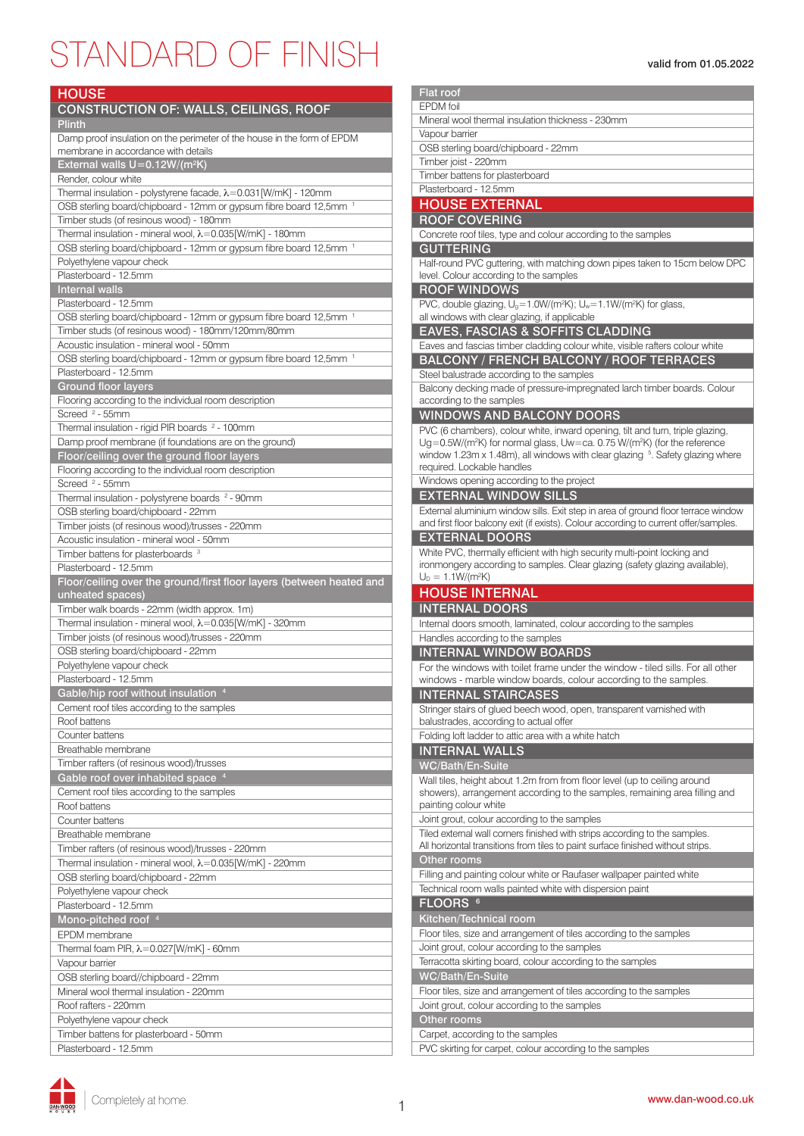## STANDARD OF FINISH valid from 01.05.2022

| <b>HOUSE</b>                                                                                                   |
|----------------------------------------------------------------------------------------------------------------|
| <b>CONSTRUCTION OF: WALLS, CEILINGS, ROOF</b>                                                                  |
| <b>Plinth</b>                                                                                                  |
| Damp proof insulation on the perimeter of the house in the form of EPDM<br>membrane in accordance with details |
| External walls U=0.12W/(m <sup>2</sup> K)                                                                      |
| Render, colour white                                                                                           |
| Thermal insulation - polystyrene facade, λ=0.031[W/mK] - 120mm                                                 |
| OSB sterling board/chipboard - 12mm or gypsum fibre board 12,5mm <sup>1</sup>                                  |
| Timber studs (of resinous wood) - 180mm                                                                        |
| Thermal insulation - mineral wool, λ=0.035[W/mK] - 180mm                                                       |
| OSB sterling board/chipboard - 12mm or gypsum fibre board 12,5mm <sup>1</sup>                                  |
| Polyethylene vapour check<br>Plasterboard - 12.5mm                                                             |
| <b>Internal walls</b>                                                                                          |
| Plasterboard - 12.5mm                                                                                          |
| OSB sterling board/chipboard - 12mm or gypsum fibre board 12,5mm <sup>1</sup>                                  |
| Timber studs (of resinous wood) - 180mm/120mm/80mm                                                             |
| Acoustic insulation - mineral wool - 50mm                                                                      |
| OSB sterling board/chipboard - 12mm or gypsum fibre board 12,5mm <sup>-1</sup>                                 |
| Plasterboard - 12.5mm                                                                                          |
| <b>Ground floor layers</b>                                                                                     |
| Flooring according to the individual room description                                                          |
| Screed <sup>2</sup> - 55mm                                                                                     |
| Thermal insulation - rigid PIR boards <sup>2</sup> - 100mm                                                     |
| Damp proof membrane (if foundations are on the ground)                                                         |
| Floor/ceiling over the ground floor layers                                                                     |
| Flooring according to the individual room description                                                          |
| Screed <sup>2</sup> - 55mm                                                                                     |
| Thermal insulation - polystyrene boards <sup>2</sup> - 90mm                                                    |
| OSB sterling board/chipboard - 22mm                                                                            |
| Timber joists (of resinous wood)/trusses - 220mm                                                               |
| Acoustic insulation - mineral wool - 50mm                                                                      |
| Timber battens for plasterboards <sup>3</sup>                                                                  |
| Plasterboard - 12.5mm                                                                                          |
|                                                                                                                |
| Floor/ceiling over the ground/first floor layers (between heated and                                           |
| unheated spaces)                                                                                               |
| Timber walk boards - 22mm (width approx. 1m)                                                                   |
| Thermal insulation - mineral wool, $\lambda = 0.035$ [W/mK] - 320mm                                            |
| Timber joists (of resinous wood)/trusses - 220mm                                                               |
| OSB sterling board/chipboard - 22mm                                                                            |
| Polyethylene vapour check                                                                                      |
| Plasterboard - 12.5mm                                                                                          |
| Gable/hip roof without insulation 4                                                                            |
| Cement roof tiles according to the samples                                                                     |
| Roof battens                                                                                                   |
| Counter battens<br>Breathable membrane                                                                         |
|                                                                                                                |
| Timber rafters (of resinous wood)/trusses                                                                      |
| Gable roof over inhabited space <sup>4</sup>                                                                   |
| Cement roof tiles according to the samples<br>Roof battens                                                     |
| Counter battens                                                                                                |
| Breathable membrane                                                                                            |
| Timber rafters (of resinous wood)/trusses - 220mm                                                              |
| Thermal insulation - mineral wool, $\lambda = 0.035$ [W/mK] - 220mm                                            |
| OSB sterling board/chipboard - 22mm                                                                            |
| Polyethylene vapour check                                                                                      |
| Plasterboard - 12.5mm                                                                                          |
| Mono-pitched roof <sup>4</sup>                                                                                 |
| EPDM membrane                                                                                                  |
| Thermal foam PIR, $\lambda = 0.027$ [W/mK] - 60mm                                                              |
| Vapour barrier                                                                                                 |
| OSB sterling board//chipboard - 22mm                                                                           |
| Mineral wool thermal insulation - 220mm                                                                        |
| Roof rafters - 220mm                                                                                           |
| Polyethylene vapour check                                                                                      |
| Timber battens for plasterboard - 50mm                                                                         |

| <b>Flat roof</b>                                                                                                        |
|-------------------------------------------------------------------------------------------------------------------------|
| <b>EPDM</b> foil                                                                                                        |
| Mineral wool thermal insulation thickness - 230mm                                                                       |
| Vapour barrier                                                                                                          |
| OSB sterling board/chipboard - 22mm                                                                                     |
| Timber joist - 220mm                                                                                                    |
| Timber battens for plasterboard                                                                                         |
| Plasterboard - 12.5mm                                                                                                   |
| <b>HOUSE EXTERNAL</b>                                                                                                   |
| <b>ROOF COVERING</b>                                                                                                    |
| Concrete roof tiles, type and colour according to the samples                                                           |
| <b>GUTTERING</b>                                                                                                        |
| Half-round PVC guttering, with matching down pipes taken to 15cm below DPC                                              |
| level. Colour according to the samples                                                                                  |
| <b>ROOF WINDOWS</b>                                                                                                     |
| PVC, double glazing, U <sub>9</sub> =1.0W/(m <sup>2</sup> K); U <sub>w</sub> =1.1W/(m <sup>2</sup> K) for glass,        |
| all windows with clear glazing, if applicable                                                                           |
| <b>EAVES, FASCIAS &amp; SOFFITS CLADDING</b>                                                                            |
| Eaves and fascias timber cladding colour white, visible rafters colour white                                            |
|                                                                                                                         |
| <b>BALCONY / FRENCH BALCONY / ROOF TERRACES</b>                                                                         |
| Steel balustrade according to the samples                                                                               |
| Balcony decking made of pressure-impregnated larch timber boards. Colour<br>according to the samples                    |
|                                                                                                                         |
| <b>WINDOWS AND BALCONY DOORS</b>                                                                                        |
| PVC (6 chambers), colour white, inward opening, tilt and turn, triple glazing,                                          |
| Ug=0.5W/(m <sup>2</sup> K) for normal glass, Uw=ca. 0.75 W/(m <sup>2</sup> K) (for the reference                        |
| window 1.23m x 1.48m), all windows with clear glazing <sup>5</sup> . Safety glazing where<br>required. Lockable handles |
|                                                                                                                         |
| Windows opening according to the project                                                                                |
| <b>EXTERNAL WINDOW SILLS</b>                                                                                            |
| External aluminium window sills. Exit step in area of ground floor terrace window                                       |
| and first floor balcony exit (if exists). Colour according to current offer/samples.                                    |
| <b>EXTERNAL DOORS</b>                                                                                                   |
| White PVC, thermally efficient with high security multi-point locking and                                               |
| ironmongery according to samples. Clear glazing (safety glazing available),                                             |
| $U_D = 1.1 W/(m^2 K)$                                                                                                   |
| <b>HOUSE INTERNAL</b>                                                                                                   |
| <b>INTERNAL DOORS</b>                                                                                                   |
| Internal doors smooth, laminated, colour according to the samples                                                       |
| Handles according to the samples                                                                                        |
| <b>INTERNAL WINDOW BOARDS</b>                                                                                           |
| For the windows with toilet frame under the window - tiled sills. For all other                                         |
| windows - marble window boards, colour according to the samples.                                                        |
| <b>INTERNAL STAIRCASES</b>                                                                                              |
| Stringer stairs of glued beech wood, open, transparent varnished with                                                   |
| balustrades, according to actual offer                                                                                  |
| Folding loft ladder to attic area with a white hatch                                                                    |
| <b>INTERNAL WALLS</b>                                                                                                   |
| WC/Bath/En-Suite                                                                                                        |
| Wall tiles, height about 1.2m from from floor level (up to ceiling around                                               |
| showers), arrangement according to the samples, remaining area filling and                                              |
| painting colour white                                                                                                   |
| Joint grout, colour according to the samples                                                                            |
| Tiled external wall corners finished with strips according to the samples.                                              |
| All horizontal transitions from tiles to paint surface finished without strips.                                         |
| Other rooms                                                                                                             |
| Filling and painting colour white or Raufaser wallpaper painted white                                                   |
|                                                                                                                         |
|                                                                                                                         |
| Technical room walls painted white with dispersion paint                                                                |
| FLOORS <sup>6</sup>                                                                                                     |
| Kitchen/Technical room                                                                                                  |
| Floor tiles, size and arrangement of tiles according to the samples                                                     |
| Joint grout, colour according to the samples                                                                            |
| Terracotta skirting board, colour according to the samples                                                              |
| WC/Bath/En-Suite                                                                                                        |
| Floor tiles, size and arrangement of tiles according to the samples                                                     |
| Joint grout, colour according to the samples                                                                            |
| Other rooms<br>Carpet, according to the samples                                                                         |

PVC skirting for carpet, colour according to the samples